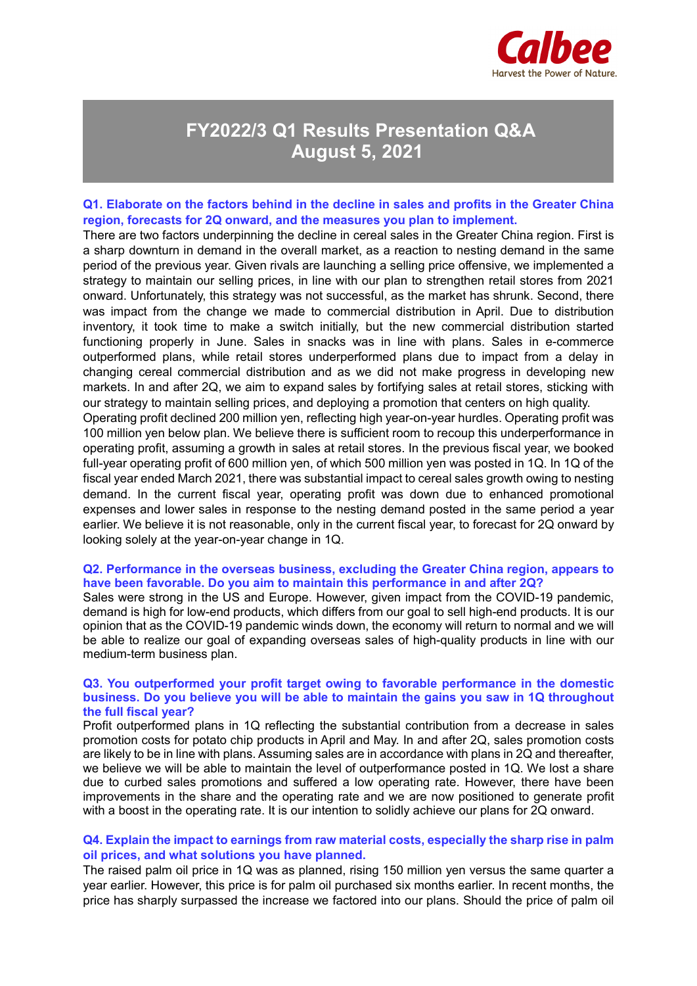

# **FY2022/3 Q1 Results Presentation Q&A August 5, 2021**

## **Q1. Elaborate on the factors behind in the decline in sales and profits in the Greater China region, forecasts for 2Q onward, and the measures you plan to implement.**

There are two factors underpinning the decline in cereal sales in the Greater China region. First is a sharp downturn in demand in the overall market, as a reaction to nesting demand in the same period of the previous year. Given rivals are launching a selling price offensive, we implemented a strategy to maintain our selling prices, in line with our plan to strengthen retail stores from 2021 onward. Unfortunately, this strategy was not successful, as the market has shrunk. Second, there was impact from the change we made to commercial distribution in April. Due to distribution inventory, it took time to make a switch initially, but the new commercial distribution started functioning properly in June. Sales in snacks was in line with plans. Sales in e-commerce outperformed plans, while retail stores underperformed plans due to impact from a delay in changing cereal commercial distribution and as we did not make progress in developing new markets. In and after 2Q, we aim to expand sales by fortifying sales at retail stores, sticking with our strategy to maintain selling prices, and deploying a promotion that centers on high quality.

Operating profit declined 200 million yen, reflecting high year-on-year hurdles. Operating profit was 100 million yen below plan. We believe there is sufficient room to recoup this underperformance in operating profit, assuming a growth in sales at retail stores. In the previous fiscal year, we booked full-year operating profit of 600 million yen, of which 500 million yen was posted in 1Q. In 1Q of the fiscal year ended March 2021, there was substantial impact to cereal sales growth owing to nesting demand. In the current fiscal year, operating profit was down due to enhanced promotional expenses and lower sales in response to the nesting demand posted in the same period a year earlier. We believe it is not reasonable, only in the current fiscal year, to forecast for 2Q onward by looking solely at the year-on-year change in 1Q.

### **Q2. Performance in the overseas business, excluding the Greater China region, appears to have been favorable. Do you aim to maintain this performance in and after 2Q?**

Sales were strong in the US and Europe. However, given impact from the COVID-19 pandemic, demand is high for low-end products, which differs from our goal to sell high-end products. It is our opinion that as the COVID-19 pandemic winds down, the economy will return to normal and we will be able to realize our goal of expanding overseas sales of high-quality products in line with our medium-term business plan.

### **Q3. You outperformed your profit target owing to favorable performance in the domestic business. Do you believe you will be able to maintain the gains you saw in 1Q throughout the full fiscal year?**

Profit outperformed plans in 1Q reflecting the substantial contribution from a decrease in sales promotion costs for potato chip products in April and May. In and after 2Q, sales promotion costs are likely to be in line with plans. Assuming sales are in accordance with plans in 2Q and thereafter, we believe we will be able to maintain the level of outperformance posted in 1Q. We lost a share due to curbed sales promotions and suffered a low operating rate. However, there have been improvements in the share and the operating rate and we are now positioned to generate profit with a boost in the operating rate. It is our intention to solidly achieve our plans for 2Q onward.

## **Q4. Explain the impact to earnings from raw material costs, especially the sharp rise in palm oil prices, and what solutions you have planned.**

The raised palm oil price in 1Q was as planned, rising 150 million yen versus the same quarter a year earlier. However, this price is for palm oil purchased six months earlier. In recent months, the price has sharply surpassed the increase we factored into our plans. Should the price of palm oil